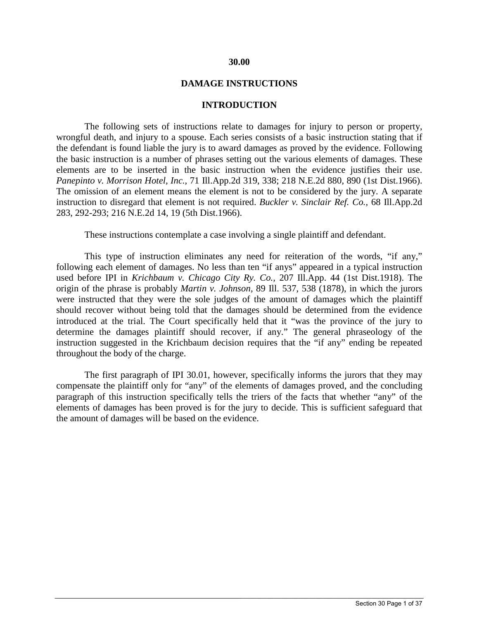#### **30.00**

#### **DAMAGE INSTRUCTIONS**

#### **INTRODUCTION**

The following sets of instructions relate to damages for injury to person or property, wrongful death, and injury to a spouse. Each series consists of a basic instruction stating that if the defendant is found liable the jury is to award damages as proved by the evidence. Following the basic instruction is a number of phrases setting out the various elements of damages. These elements are to be inserted in the basic instruction when the evidence justifies their use. *Panepinto v. Morrison Hotel, Inc.,* 71 Ill.App.2d 319, 338; 218 N.E.2d 880, 890 (1st Dist.1966). The omission of an element means the element is not to be considered by the jury. A separate instruction to disregard that element is not required. *Buckler v. Sinclair Ref. Co.,* 68 Ill.App.2d 283, 292-293; 216 N.E.2d 14, 19 (5th Dist.1966).

These instructions contemplate a case involving a single plaintiff and defendant.

This type of instruction eliminates any need for reiteration of the words, "if any," following each element of damages. No less than ten "if anys" appeared in a typical instruction used before IPI in *Krichbaum v. Chicago City Ry. Co.,* 207 Ill.App. 44 (1st Dist.1918). The origin of the phrase is probably *Martin v. Johnson,* 89 Ill. 537, 538 (1878), in which the jurors were instructed that they were the sole judges of the amount of damages which the plaintiff should recover without being told that the damages should be determined from the evidence introduced at the trial. The Court specifically held that it "was the province of the jury to determine the damages plaintiff should recover, if any." The general phraseology of the instruction suggested in the Krichbaum decision requires that the "if any" ending be repeated throughout the body of the charge.

The first paragraph of IPI 30.01, however, specifically informs the jurors that they may compensate the plaintiff only for "any" of the elements of damages proved, and the concluding paragraph of this instruction specifically tells the triers of the facts that whether "any" of the elements of damages has been proved is for the jury to decide. This is sufficient safeguard that the amount of damages will be based on the evidence.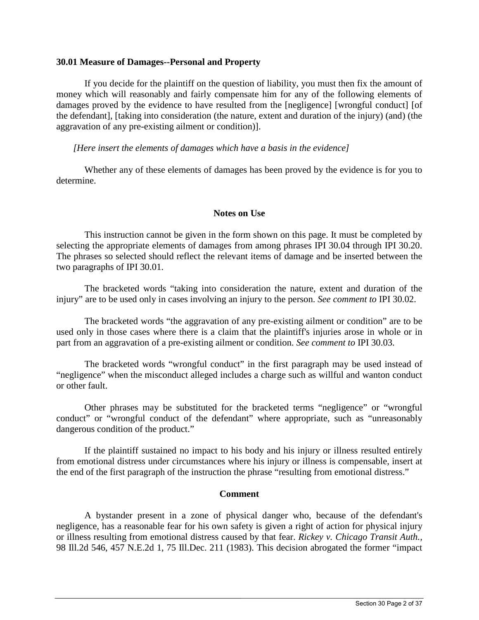## **30.01 Measure of Damages--Personal and Property**

If you decide for the plaintiff on the question of liability, you must then fix the amount of money which will reasonably and fairly compensate him for any of the following elements of damages proved by the evidence to have resulted from the [negligence] [wrongful conduct] [of the defendant], [taking into consideration (the nature, extent and duration of the injury) (and) (the aggravation of any pre-existing ailment or condition)].

*[Here insert the elements of damages which have a basis in the evidence]* 

Whether any of these elements of damages has been proved by the evidence is for you to determine.

# **Notes on Use**

This instruction cannot be given in the form shown on this page. It must be completed by selecting the appropriate elements of damages from among phrases IPI 30.04 through IPI 30.20. The phrases so selected should reflect the relevant items of damage and be inserted between the two paragraphs of IPI 30.01.

The bracketed words "taking into consideration the nature, extent and duration of the injury" are to be used only in cases involving an injury to the person. *See comment to* IPI 30.02.

The bracketed words "the aggravation of any pre-existing ailment or condition" are to be used only in those cases where there is a claim that the plaintiff's injuries arose in whole or in part from an aggravation of a pre-existing ailment or condition. *See comment to* IPI 30.03.

The bracketed words "wrongful conduct" in the first paragraph may be used instead of "negligence" when the misconduct alleged includes a charge such as willful and wanton conduct or other fault.

Other phrases may be substituted for the bracketed terms "negligence" or "wrongful conduct" or "wrongful conduct of the defendant" where appropriate, such as "unreasonably dangerous condition of the product."

If the plaintiff sustained no impact to his body and his injury or illness resulted entirely from emotional distress under circumstances where his injury or illness is compensable, insert at the end of the first paragraph of the instruction the phrase "resulting from emotional distress."

#### **Comment**

A bystander present in a zone of physical danger who, because of the defendant's negligence, has a reasonable fear for his own safety is given a right of action for physical injury or illness resulting from emotional distress caused by that fear. *Rickey v. Chicago Transit Auth.,* 98 Ill.2d 546, 457 N.E.2d 1, 75 Ill.Dec. 211 (1983). This decision abrogated the former "impact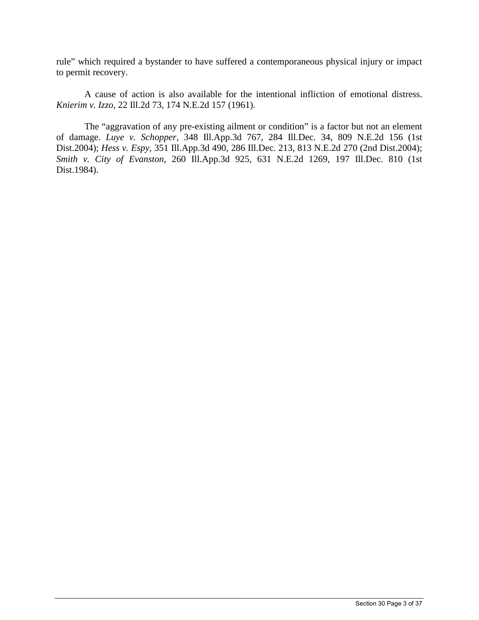rule" which required a bystander to have suffered a contemporaneous physical injury or impact to permit recovery.

A cause of action is also available for the intentional infliction of emotional distress. *Knierim v. Izzo,* 22 Ill.2d 73, 174 N.E.2d 157 (1961).

The "aggravation of any pre-existing ailment or condition" is a factor but not an element of damage. *Luye v. Schopper,* 348 Ill.App.3d 767, 284 Ill.Dec. 34, 809 N.E.2d 156 (1st Dist.2004); *Hess v. Espy,* 351 Ill.App.3d 490, 286 Ill.Dec. 213, 813 N.E.2d 270 (2nd Dist.2004); *Smith v. City of Evanston,* 260 Ill.App.3d 925, 631 N.E.2d 1269, 197 Ill.Dec. 810 (1st Dist.1984).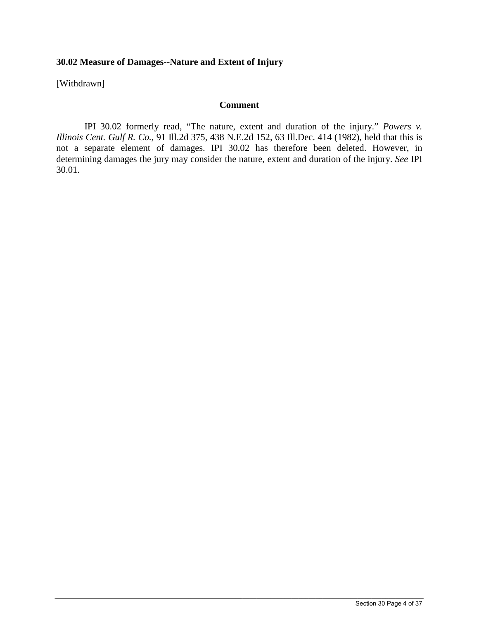# **30.02 Measure of Damages--Nature and Extent of Injury**

[Withdrawn]

## **Comment**

IPI 30.02 formerly read, "The nature, extent and duration of the injury." *Powers v. Illinois Cent. Gulf R. Co.,* 91 Ill.2d 375, 438 N.E.2d 152, 63 Ill.Dec. 414 (1982), held that this is not a separate element of damages. IPI 30.02 has therefore been deleted. However, in determining damages the jury may consider the nature, extent and duration of the injury. *See* IPI 30.01.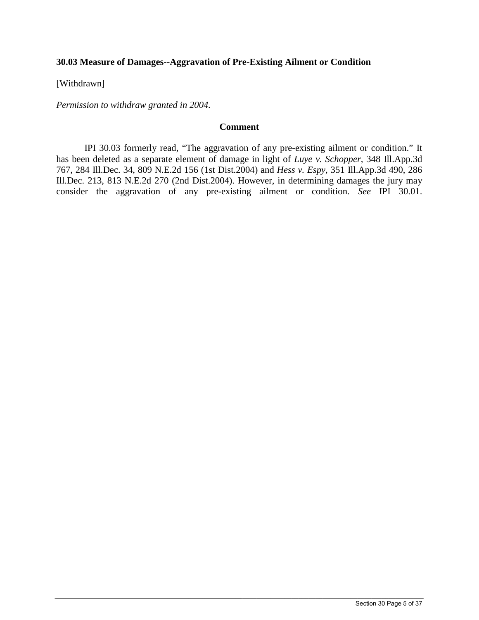# **30.03 Measure of Damages--Aggravation of Pre-Existing Ailment or Condition**

[Withdrawn]

*Permission to withdraw granted in 2004.*

# **Comment**

IPI 30.03 formerly read, "The aggravation of any pre-existing ailment or condition." It has been deleted as a separate element of damage in light of *Luye v. Schopper,* 348 Ill.App.3d 767, 284 Ill.Dec. 34, 809 N.E.2d 156 (1st Dist.2004) and *Hess v. Espy,* 351 Ill.App.3d 490, 286 Ill.Dec. 213, 813 N.E.2d 270 (2nd Dist.2004). However, in determining damages the jury may consider the aggravation of any pre-existing ailment or condition. *See* IPI 30.01.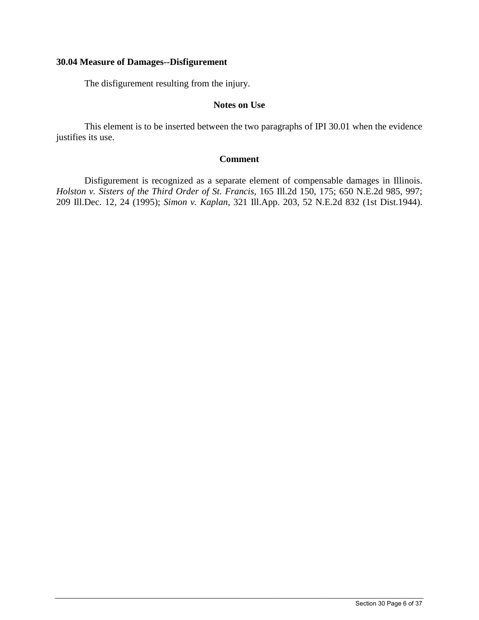# **30.04 Measure of Damages--Disfigurement**

The disfigurement resulting from the injury.

# **Notes on Use**

This element is to be inserted between the two paragraphs of IPI 30.01 when the evidence justifies its use.

## **Comment**

Disfigurement is recognized as a separate element of compensable damages in Illinois. *Holston v. Sisters of the Third Order of St. Francis,* 165 Ill.2d 150, 175; 650 N.E.2d 985, 997; 209 Ill.Dec. 12, 24 (1995); *Simon v. Kaplan,* 321 Ill.App. 203, 52 N.E.2d 832 (1st Dist.1944).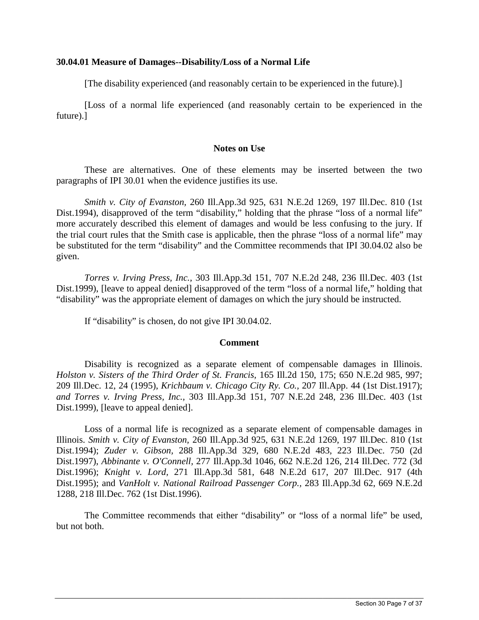## **30.04.01 Measure of Damages--Disability/Loss of a Normal Life**

[The disability experienced (and reasonably certain to be experienced in the future).]

[Loss of a normal life experienced (and reasonably certain to be experienced in the future).]

## **Notes on Use**

These are alternatives. One of these elements may be inserted between the two paragraphs of IPI 30.01 when the evidence justifies its use.

*Smith v. City of Evanston,* 260 Ill.App.3d 925, 631 N.E.2d 1269, 197 Ill.Dec. 810 (1st Dist.1994), disapproved of the term "disability," holding that the phrase "loss of a normal life" more accurately described this element of damages and would be less confusing to the jury. If the trial court rules that the Smith case is applicable, then the phrase "loss of a normal life" may be substituted for the term "disability" and the Committee recommends that IPI 30.04.02 also be given.

*Torres v. Irving Press, Inc.,* 303 Ill.App.3d 151, 707 N.E.2d 248, 236 Ill.Dec. 403 (1st Dist.1999), [leave to appeal denied] disapproved of the term "loss of a normal life," holding that "disability" was the appropriate element of damages on which the jury should be instructed.

If "disability" is chosen, do not give IPI 30.04.02.

# **Comment**

Disability is recognized as a separate element of compensable damages in Illinois. *Holston v. Sisters of the Third Order of St. Francis,* 165 Ill.2d 150, 175; 650 N.E.2d 985, 997; 209 Ill.Dec. 12, 24 (1995), *Krichbaum v. Chicago City Ry. Co.,* 207 Ill.App. 44 (1st Dist.1917); *and Torres v. Irving Press, Inc.,* 303 Ill.App.3d 151, 707 N.E.2d 248, 236 Ill.Dec. 403 (1st Dist.1999), [leave to appeal denied].

Loss of a normal life is recognized as a separate element of compensable damages in Illinois. *Smith v. City of Evanston,* 260 Ill.App.3d 925, 631 N.E.2d 1269, 197 Ill.Dec. 810 (1st Dist.1994); *Zuder v. Gibson,* 288 Ill.App.3d 329, 680 N.E.2d 483, 223 Ill.Dec. 750 (2d Dist.1997), *Abbinante v. O'Connell,* 277 Ill.App.3d 1046, 662 N.E.2d 126, 214 Ill.Dec. 772 (3d Dist.1996); *Knight v. Lord,* 271 Ill.App.3d 581, 648 N.E.2d 617, 207 Ill.Dec. 917 (4th Dist.1995); and *VanHolt v. National Railroad Passenger Corp.,* 283 Ill.App.3d 62, 669 N.E.2d 1288, 218 Ill.Dec. 762 (1st Dist.1996).

The Committee recommends that either "disability" or "loss of a normal life" be used, but not both.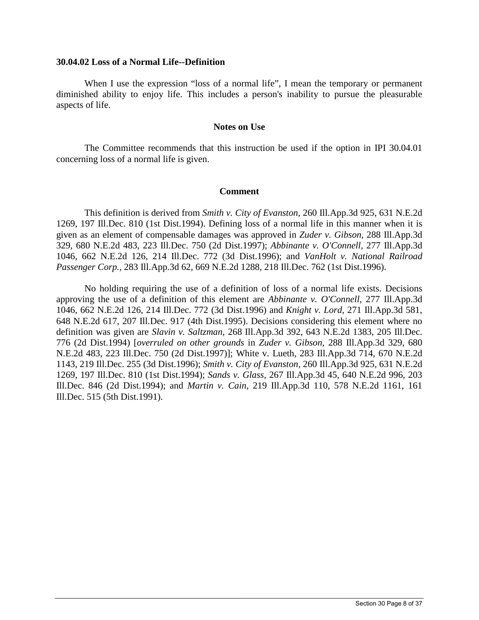#### **30.04.02 Loss of a Normal Life--Definition**

When I use the expression "loss of a normal life", I mean the temporary or permanent diminished ability to enjoy life. This includes a person's inability to pursue the pleasurable aspects of life.

#### **Notes on Use**

The Committee recommends that this instruction be used if the option in IPI 30.04.01 concerning loss of a normal life is given.

## **Comment**

This definition is derived from *Smith v. City of Evanston,* 260 Ill.App.3d 925, 631 N.E.2d 1269, 197 Ill.Dec. 810 (1st Dist.1994). Defining loss of a normal life in this manner when it is given as an element of compensable damages was approved in *Zuder v. Gibson,* 288 Ill.App.3d 329, 680 N.E.2d 483, 223 Ill.Dec. 750 (2d Dist.1997); *Abbinante v. O'Connell,* 277 Ill.App.3d 1046, 662 N.E.2d 126, 214 Ill.Dec. 772 (3d Dist.1996); and *VanHolt v. National Railroad Passenger Corp.,* 283 Ill.App.3d 62, 669 N.E.2d 1288, 218 Ill.Dec. 762 (1st Dist.1996).

No holding requiring the use of a definition of loss of a normal life exists. Decisions approving the use of a definition of this element are *Abbinante v. O'Connell,* 277 Ill.App.3d 1046, 662 N.E.2d 126, 214 Ill.Dec. 772 (3d Dist.1996) and *Knight v. Lord,* 271 Ill.App.3d 581, 648 N.E.2d 617, 207 Ill.Dec. 917 (4th Dist.1995). Decisions considering this element where no definition was given are *Slavin v. Saltzman,* 268 Ill.App.3d 392, 643 N.E.2d 1383, 205 Ill.Dec. 776 (2d Dist.1994) [*overruled on other grounds* in *Zuder v. Gibson,* 288 Ill.App.3d 329, 680 N.E.2d 483, 223 Ill.Dec. 750 (2d Dist.1997)]; White v. Lueth, 283 Ill.App.3d 714, 670 N.E.2d 1143, 219 Ill.Dec. 255 (3d Dist.1996); *Smith v. City of Evanston,* 260 Ill.App.3d 925, 631 N.E.2d 1269, 197 Ill.Dec. 810 (1st Dist.1994); *Sands v. Glass,* 267 Ill.App.3d 45, 640 N.E.2d 996, 203 Ill.Dec. 846 (2d Dist.1994); and *Martin v. Cain,* 219 Ill.App.3d 110, 578 N.E.2d 1161, 161 Ill.Dec. 515 (5th Dist.1991).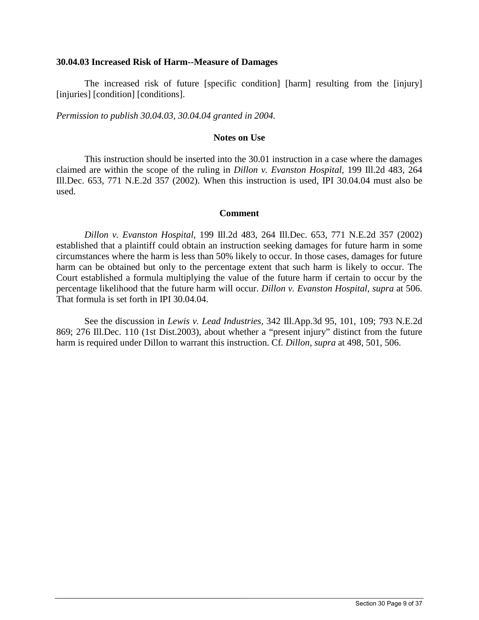#### **30.04.03 Increased Risk of Harm--Measure of Damages**

The increased risk of future [specific condition] [harm] resulting from the [injury] [injuries] [condition] [conditions].

*Permission to publish 30.04.03, 30.04.04 granted in 2004.*

# **Notes on Use**

This instruction should be inserted into the 30.01 instruction in a case where the damages claimed are within the scope of the ruling in *Dillon v. Evanston Hospital,* 199 Ill.2d 483, 264 Ill.Dec. 653, 771 N.E.2d 357 (2002). When this instruction is used, IPI 30.04.04 must also be used.

## **Comment**

*Dillon v. Evanston Hospital,* 199 Ill.2d 483, 264 Ill.Dec. 653, 771 N.E.2d 357 (2002) established that a plaintiff could obtain an instruction seeking damages for future harm in some circumstances where the harm is less than 50% likely to occur. In those cases, damages for future harm can be obtained but only to the percentage extent that such harm is likely to occur. The Court established a formula multiplying the value of the future harm if certain to occur by the percentage likelihood that the future harm will occur. *Dillon v. Evanston Hospital, supra* at 506. That formula is set forth in IPI 30.04.04.

See the discussion in *Lewis v. Lead Industries,* 342 Ill.App.3d 95, 101, 109; 793 N.E.2d 869; 276 Ill.Dec. 110 (1st Dist.2003), about whether a "present injury" distinct from the future harm is required under Dillon to warrant this instruction. Cf. *Dillon, supra* at 498, 501, 506.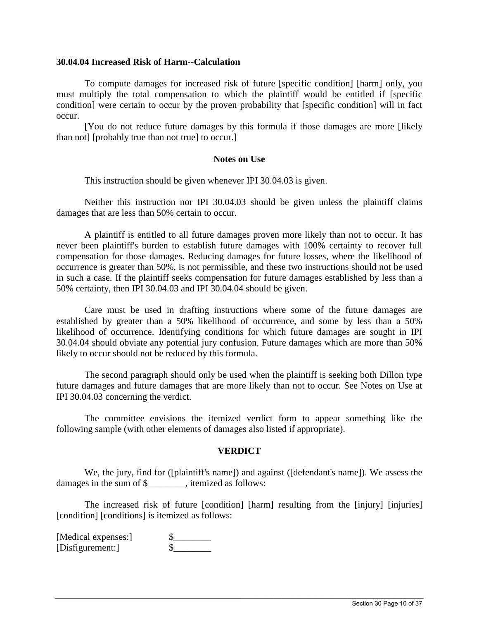#### **30.04.04 Increased Risk of Harm--Calculation**

To compute damages for increased risk of future [specific condition] [harm] only, you must multiply the total compensation to which the plaintiff would be entitled if [specific condition] were certain to occur by the proven probability that [specific condition] will in fact occur.

[You do not reduce future damages by this formula if those damages are more [likely than not] [probably true than not true] to occur.]

## **Notes on Use**

This instruction should be given whenever IPI 30.04.03 is given.

Neither this instruction nor IPI 30.04.03 should be given unless the plaintiff claims damages that are less than 50% certain to occur.

A plaintiff is entitled to all future damages proven more likely than not to occur. It has never been plaintiff's burden to establish future damages with 100% certainty to recover full compensation for those damages. Reducing damages for future losses, where the likelihood of occurrence is greater than 50%, is not permissible, and these two instructions should not be used in such a case. If the plaintiff seeks compensation for future damages established by less than a 50% certainty, then IPI 30.04.03 and IPI 30.04.04 should be given.

Care must be used in drafting instructions where some of the future damages are established by greater than a 50% likelihood of occurrence, and some by less than a 50% likelihood of occurrence. Identifying conditions for which future damages are sought in IPI 30.04.04 should obviate any potential jury confusion. Future damages which are more than 50% likely to occur should not be reduced by this formula.

The second paragraph should only be used when the plaintiff is seeking both Dillon type future damages and future damages that are more likely than not to occur. See Notes on Use at IPI 30.04.03 concerning the verdict.

The committee envisions the itemized verdict form to appear something like the following sample (with other elements of damages also listed if appropriate).

#### **VERDICT**

We, the jury, find for ([plaintiff's name]) and against ([defendant's name]). We assess the damages in the sum of \$  $\blacksquare$ , itemized as follows:

The increased risk of future [condition] [harm] resulting from the [injury] [injuries] [condition] [conditions] is itemized as follows:

 $\_$  ,  $\_$  ,  $\_$  ,  $\_$  ,  $\_$  ,  $\_$  ,  $\_$  ,  $\_$  ,  $\_$  ,  $\_$  ,  $\_$  ,  $\_$  ,  $\_$  ,  $\_$  ,  $\_$  ,  $\_$  ,  $\_$  ,  $\_$  ,  $\_$  ,  $\_$  ,  $\_$  ,  $\_$  ,  $\_$  ,  $\_$  ,  $\_$  ,  $\_$  ,  $\_$  ,  $\_$  ,  $\_$  ,  $\_$  ,  $\_$  ,  $\_$  ,  $\_$  ,  $\_$  ,  $\_$  ,  $\_$  ,  $\_$  ,

[Medical expenses:] \$<br>[Disfigurement:] \$ [Disfigurement:]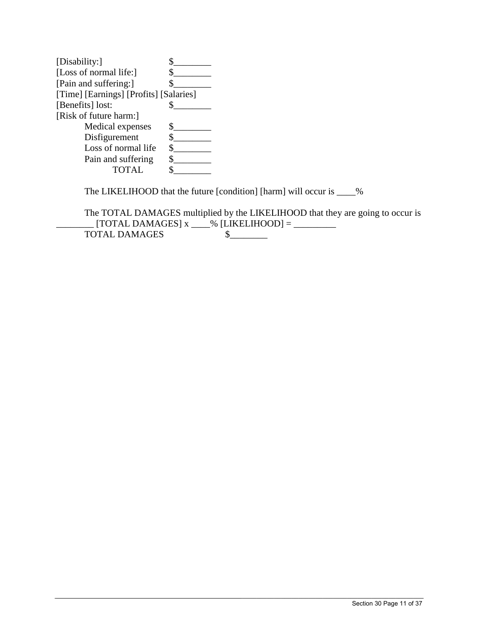| [Disability:]                          |  |
|----------------------------------------|--|
| [Loss of normal life:]                 |  |
| [Pain and suffering:]                  |  |
| [Time] [Earnings] [Profits] [Salaries] |  |
| [Benefits] lost:                       |  |
| [Risk of future harm:]                 |  |
| Medical expenses                       |  |
| Disfigurement                          |  |
| Loss of normal life                    |  |
| Pain and suffering                     |  |
| <b>TOTAL</b>                           |  |

The LIKELIHOOD that the future [condition] [harm] will occur is \_\_\_\_%

The TOTAL DAMAGES multiplied by the LIKELIHOOD that they are going to occur is  $\text{[TOTAL DAMAGES]} x \_\_\% \text{[LIKELIHOOD]} = \_\_\_\_\_\_\_\$  $TOTAL DAMAGES$   $\sim$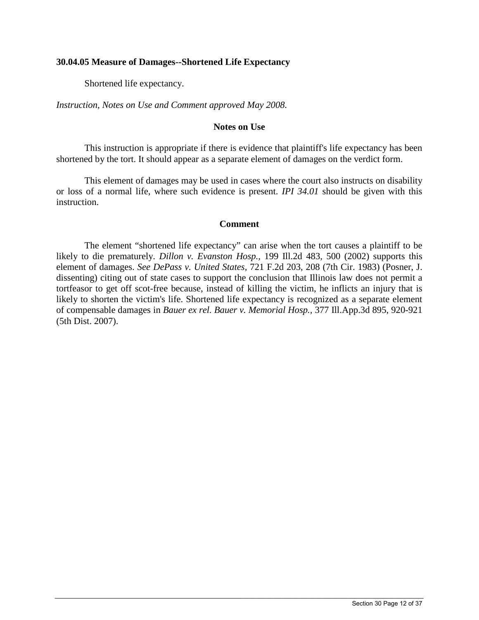## **30.04.05 Measure of Damages--Shortened Life Expectancy**

Shortened life expectancy.

*Instruction, Notes on Use and Comment approved May 2008.* 

# **Notes on Use**

This instruction is appropriate if there is evidence that plaintiff's life expectancy has been shortened by the tort. It should appear as a separate element of damages on the verdict form.

This element of damages may be used in cases where the court also instructs on disability or loss of a normal life, where such evidence is present. *IPI 34.01* should be given with this instruction.

## **Comment**

The element "shortened life expectancy" can arise when the tort causes a plaintiff to be likely to die prematurely. *Dillon v. Evanston Hosp.,* 199 Ill.2d 483, 500 (2002) supports this element of damages. *See DePass v. United States,* 721 F.2d 203, 208 (7th Cir. 1983) (Posner, J. dissenting) citing out of state cases to support the conclusion that Illinois law does not permit a tortfeasor to get off scot-free because, instead of killing the victim, he inflicts an injury that is likely to shorten the victim's life. Shortened life expectancy is recognized as a separate element of compensable damages in *Bauer ex rel. Bauer v. Memorial Hosp.,* 377 Ill.App.3d 895, 920-921 (5th Dist. 2007).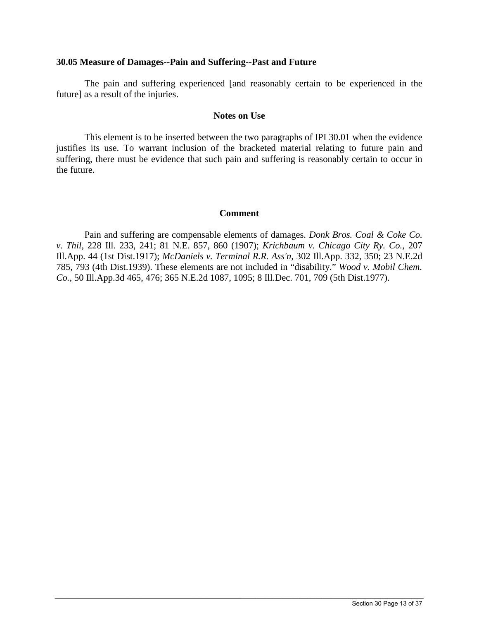## **30.05 Measure of Damages--Pain and Suffering--Past and Future**

The pain and suffering experienced [and reasonably certain to be experienced in the future] as a result of the injuries.

#### **Notes on Use**

This element is to be inserted between the two paragraphs of IPI 30.01 when the evidence justifies its use. To warrant inclusion of the bracketed material relating to future pain and suffering, there must be evidence that such pain and suffering is reasonably certain to occur in the future.

## **Comment**

Pain and suffering are compensable elements of damages. *Donk Bros. Coal & Coke Co. v. Thil,* 228 Ill. 233, 241; 81 N.E. 857, 860 (1907); *Krichbaum v. Chicago City Ry. Co.,* 207 Ill.App. 44 (1st Dist.1917); *McDaniels v. Terminal R.R. Ass'n,* 302 Ill.App. 332, 350; 23 N.E.2d 785, 793 (4th Dist.1939). These elements are not included in "disability." *Wood v. Mobil Chem. Co.,* 50 Ill.App.3d 465, 476; 365 N.E.2d 1087, 1095; 8 Ill.Dec. 701, 709 (5th Dist.1977).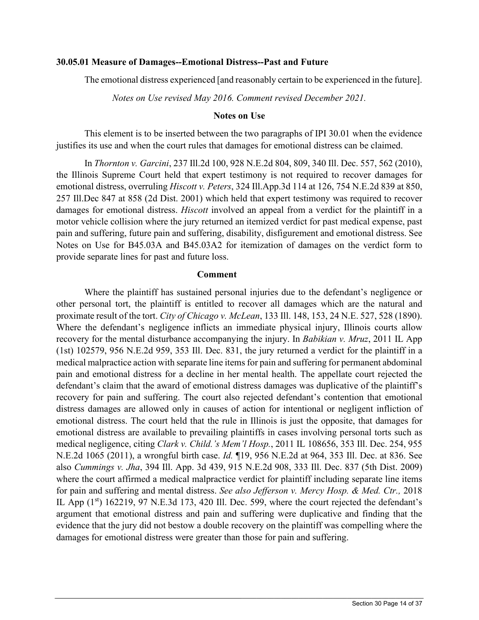## **30.05.01 Measure of Damages--Emotional Distress--Past and Future**

The emotional distress experienced [and reasonably certain to be experienced in the future].

*Notes on Use revised May 2016. Comment revised December 2021.* 

## **Notes on Use**

This element is to be inserted between the two paragraphs of IPI 30.01 when the evidence justifies its use and when the court rules that damages for emotional distress can be claimed.

In *Thornton v. Garcini*, 237 Ill.2d 100, 928 N.E.2d 804, 809, 340 Ill. Dec. 557, 562 (2010), the Illinois Supreme Court held that expert testimony is not required to recover damages for emotional distress, overruling *Hiscott v. Peters*, 324 Ill.App.3d 114 at 126, 754 N.E.2d 839 at 850, 257 Ill.Dec 847 at 858 (2d Dist. 2001) which held that expert testimony was required to recover damages for emotional distress. *Hiscott* involved an appeal from a verdict for the plaintiff in a motor vehicle collision where the jury returned an itemized verdict for past medical expense, past pain and suffering, future pain and suffering, disability, disfigurement and emotional distress. See Notes on Use for B45.03A and B45.03A2 for itemization of damages on the verdict form to provide separate lines for past and future loss.

## **Comment**

Where the plaintiff has sustained personal injuries due to the defendant's negligence or other personal tort, the plaintiff is entitled to recover all damages which are the natural and proximate result of the tort. *City of Chicago v. McLean*, 133 Ill. 148, 153, 24 N.E. 527, 528 (1890). Where the defendant's negligence inflicts an immediate physical injury, Illinois courts allow recovery for the mental disturbance accompanying the injury. In *Babikian v. Mruz*, 2011 IL App (1st) 102579, 956 N.E.2d 959, 353 Ill. Dec. 831, the jury returned a verdict for the plaintiff in a medical malpractice action with separate line items for pain and suffering for permanent abdominal pain and emotional distress for a decline in her mental health. The appellate court rejected the defendant's claim that the award of emotional distress damages was duplicative of the plaintiff's recovery for pain and suffering. The court also rejected defendant's contention that emotional distress damages are allowed only in causes of action for intentional or negligent infliction of emotional distress. The court held that the rule in Illinois is just the opposite, that damages for emotional distress are available to prevailing plaintiffs in cases involving personal torts such as medical negligence, citing *Clark v. Child.'s Mem'l Hosp.*, 2011 IL 108656, 353 Ill. Dec. 254, 955 N.E.2d 1065 (2011), a wrongful birth case. *Id.* ¶19, 956 N.E.2d at 964, 353 Ill. Dec. at 836. See also *Cummings v. Jha*, 394 Ill. App. 3d 439, 915 N.E.2d 908, 333 Ill. Dec. 837 (5th Dist. 2009) where the court affirmed a medical malpractice verdict for plaintiff including separate line items for pain and suffering and mental distress. *See also Jefferson v. Mercy Hosp. & Med. Ctr.,* 2018 IL App (1st) 162219, 97 N.E.3d 173, 420 Ill. Dec. 599, where the court rejected the defendant's argument that emotional distress and pain and suffering were duplicative and finding that the evidence that the jury did not bestow a double recovery on the plaintiff was compelling where the damages for emotional distress were greater than those for pain and suffering.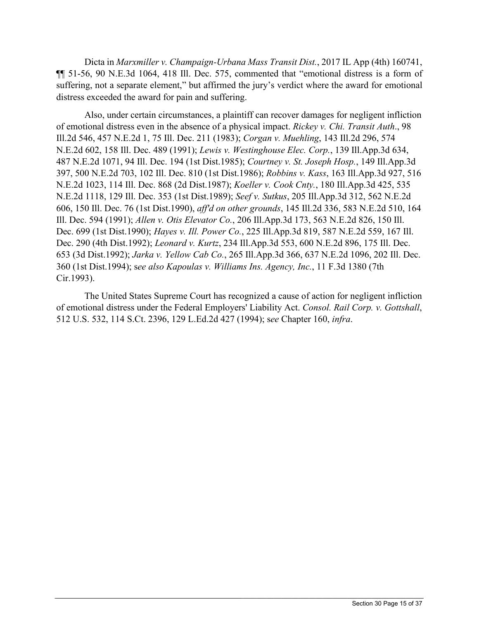Dicta in *Marxmiller v. Champaign-Urbana Mass Transit Dist.*, 2017 IL App (4th) 160741, ¶¶ 51-56, 90 N.E.3d 1064, 418 Ill. Dec. 575, commented that "emotional distress is a form of suffering, not a separate element," but affirmed the jury's verdict where the award for emotional distress exceeded the award for pain and suffering.

Also, under certain circumstances, a plaintiff can recover damages for negligent infliction of emotional distress even in the absence of a physical impact. *Rickey v. Chi. Transit Auth*., 98 Ill.2d 546, 457 N.E.2d 1, 75 Ill. Dec. 211 (1983); *Corgan v. Muehling*, 143 Ill.2d 296, 574 N.E.2d 602, 158 Ill. Dec. 489 (1991); *Lewis v. Westinghouse Elec. Corp.*, 139 Ill.App.3d 634, 487 N.E.2d 1071, 94 Ill. Dec. 194 (1st Dist.1985); *Courtney v. St. Joseph Hosp.*, 149 Ill.App.3d 397, 500 N.E.2d 703, 102 Ill. Dec. 810 (1st Dist.1986); *Robbins v. Kass*, 163 Ill.App.3d 927, 516 N.E.2d 1023, 114 Ill. Dec. 868 (2d Dist.1987); *Koeller v. Cook Cnty.*, 180 Ill.App.3d 425, 535 N.E.2d 1118, 129 Ill. Dec. 353 (1st Dist.1989); *Seef v. Sutkus*, 205 Ill.App.3d 312, 562 N.E.2d 606, 150 Ill. Dec. 76 (1st Dist.1990), *aff'd on other grounds*, 145 Ill.2d 336, 583 N.E.2d 510, 164 Ill. Dec. 594 (1991); *Allen v. Otis Elevator Co.*, 206 Ill.App.3d 173, 563 N.E.2d 826, 150 Ill. Dec. 699 (1st Dist.1990); *Hayes v. Ill. Power Co.*, 225 Ill.App.3d 819, 587 N.E.2d 559, 167 Ill. Dec. 290 (4th Dist.1992); *Leonard v. Kurtz*, 234 Ill.App.3d 553, 600 N.E.2d 896, 175 Ill. Dec. 653 (3d Dist.1992); *Jarka v. Yellow Cab Co.*, 265 Ill.App.3d 366, 637 N.E.2d 1096, 202 Ill. Dec. 360 (1st Dist.1994); s*ee also Kapoulas v. Williams Ins. Agency, Inc.*, 11 F.3d 1380 (7th Cir.1993).

The United States Supreme Court has recognized a cause of action for negligent infliction of emotional distress under the Federal Employers' Liability Act. *Consol. Rail Corp. v. Gottshall*, 512 U.S. 532, 114 S.Ct. 2396, 129 L.Ed.2d 427 (1994); s*ee* Chapter 160, *infra*.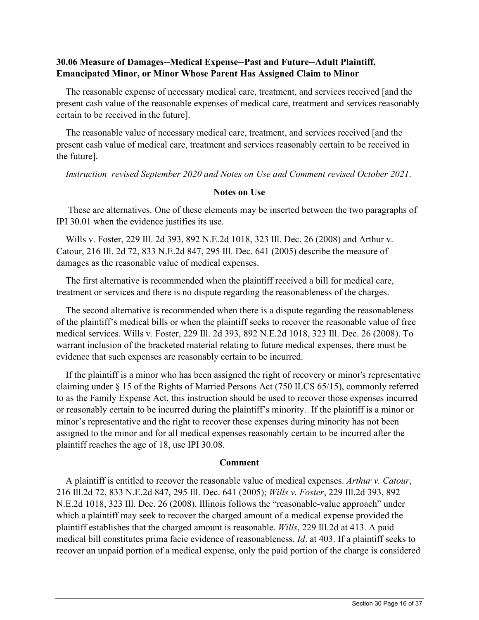# **30.06 Measure of Damages--Medical Expense--Past and Future--Adult Plaintiff, Emancipated Minor, or Minor Whose Parent Has Assigned Claim to Minor**

 The reasonable expense of necessary medical care, treatment, and services received [and the present cash value of the reasonable expenses of medical care, treatment and services reasonably certain to be received in the future].

 The reasonable value of necessary medical care, treatment, and services received [and the present cash value of medical care, treatment and services reasonably certain to be received in the future].

*Instruction revised September 2020 and Notes on Use and Comment revised October 2021*.

# **Notes on Use**

 These are alternatives. One of these elements may be inserted between the two paragraphs of IPI 30.01 when the evidence justifies its use.

 Wills v. Foster, 229 Ill. 2d 393, 892 N.E.2d 1018, 323 Ill. Dec. 26 (2008) and Arthur v. Catour, 216 Ill. 2d 72, 833 N.E.2d 847, 295 Ill. Dec. 641 (2005) describe the measure of damages as the reasonable value of medical expenses.

 The first alternative is recommended when the plaintiff received a bill for medical care, treatment or services and there is no dispute regarding the reasonableness of the charges.

 The second alternative is recommended when there is a dispute regarding the reasonableness of the plaintiff's medical bills or when the plaintiff seeks to recover the reasonable value of free medical services. Wills v. Foster, 229 Ill. 2d 393, 892 N.E.2d 1018, 323 Ill. Dec. 26 (2008). To warrant inclusion of the bracketed material relating to future medical expenses, there must be evidence that such expenses are reasonably certain to be incurred.

 If the plaintiff is a minor who has been assigned the right of recovery or minor's representative claiming under § 15 of the Rights of Married Persons Act (750 ILCS 65/15), commonly referred to as the Family Expense Act, this instruction should be used to recover those expenses incurred or reasonably certain to be incurred during the plaintiff's minority. If the plaintiff is a minor or minor's representative and the right to recover these expenses during minority has not been assigned to the minor and for all medical expenses reasonably certain to be incurred after the plaintiff reaches the age of 18, use IPI 30.08.

# **Comment**

 A plaintiff is entitled to recover the reasonable value of medical expenses. *Arthur v. Catour*, 216 Ill.2d 72, 833 N.E.2d 847, 295 Ill. Dec. 641 (2005); *Wills v. Foster*, 229 Ill.2d 393, 892 N.E.2d 1018, 323 Ill. Dec. 26 (2008). Illinois follows the "reasonable-value approach" under which a plaintiff may seek to recover the charged amount of a medical expense provided the plaintiff establishes that the charged amount is reasonable. *Wills*, 229 Ill.2d at 413. A paid medical bill constitutes prima facie evidence of reasonableness. *Id*. at 403. If a plaintiff seeks to recover an unpaid portion of a medical expense, only the paid portion of the charge is considered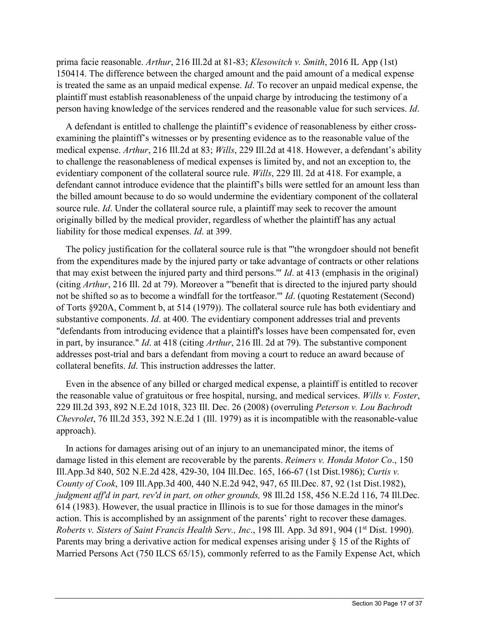prima facie reasonable. *Arthur*, 216 Ill.2d at 81-83; *Klesowitch v. Smith*, 2016 IL App (1st) 150414. The difference between the charged amount and the paid amount of a medical expense is treated the same as an unpaid medical expense. *Id*. To recover an unpaid medical expense, the plaintiff must establish reasonableness of the unpaid charge by introducing the testimony of a person having knowledge of the services rendered and the reasonable value for such services. *Id*.

 A defendant is entitled to challenge the plaintiff's evidence of reasonableness by either crossexamining the plaintiff's witnesses or by presenting evidence as to the reasonable value of the medical expense. *Arthur*, 216 Ill.2d at 83; *Wills*, 229 Ill.2d at 418. However, a defendant's ability to challenge the reasonableness of medical expenses is limited by, and not an exception to, the evidentiary component of the collateral source rule. *Wills*, 229 Ill. 2d at 418. For example, a defendant cannot introduce evidence that the plaintiff's bills were settled for an amount less than the billed amount because to do so would undermine the evidentiary component of the collateral source rule. *Id*. Under the collateral source rule, a plaintiff may seek to recover the amount originally billed by the medical provider, regardless of whether the plaintiff has any actual liability for those medical expenses. *Id*. at 399.

 The policy justification for the collateral source rule is that "'the wrongdoer should not benefit from the expenditures made by the injured party or take advantage of contracts or other relations that may exist between the injured party and third persons.'" *Id*. at 413 (emphasis in the original) (citing *Arthur*, 216 Ill. 2d at 79). Moreover a "'benefit that is directed to the injured party should not be shifted so as to become a windfall for the tortfeasor.'" *Id*. (quoting Restatement (Second) of Torts §920A, Comment b, at 514 (1979)). The collateral source rule has both evidentiary and substantive components. *Id*. at 400. The evidentiary component addresses trial and prevents "defendants from introducing evidence that a plaintiff's losses have been compensated for, even in part, by insurance." *Id*. at 418 (citing *Arthur*, 216 Ill. 2d at 79). The substantive component addresses post-trial and bars a defendant from moving a court to reduce an award because of collateral benefits. *Id*. This instruction addresses the latter.

 Even in the absence of any billed or charged medical expense, a plaintiff is entitled to recover the reasonable value of gratuitous or free hospital, nursing, and medical services. *Wills v. Foster*, 229 Ill.2d 393, 892 N.E.2d 1018, 323 Ill. Dec. 26 (2008) (overruling *Peterson v. Lou Bachrodt Chevrolet*, 76 Ill.2d 353, 392 N.E.2d 1 (Ill. 1979) as it is incompatible with the reasonable-value approach).

 In actions for damages arising out of an injury to an unemancipated minor, the items of damage listed in this element are recoverable by the parents. *Reimers v. Honda Motor Co*., 150 Ill.App.3d 840, 502 N.E.2d 428, 429-30, 104 Ill.Dec. 165, 166-67 (1st Dist.1986); *Curtis v. County of Cook*, 109 Ill.App.3d 400, 440 N.E.2d 942, 947, 65 Ill.Dec. 87, 92 (1st Dist.1982), *judgment aff'd in part, rev'd in part, on other grounds,* 98 Ill.2d 158, 456 N.E.2d 116, 74 Ill.Dec. 614 (1983). However, the usual practice in Illinois is to sue for those damages in the minor's action. This is accomplished by an assignment of the parents' right to recover these damages. *Roberts v. Sisters of Saint Francis Health Serv., Inc., 198 Ill. App. 3d 891, 904 (1<sup>st</sup> Dist. 1990).* Parents may bring a derivative action for medical expenses arising under § 15 of the Rights of Married Persons Act (750 ILCS 65/15), commonly referred to as the Family Expense Act, which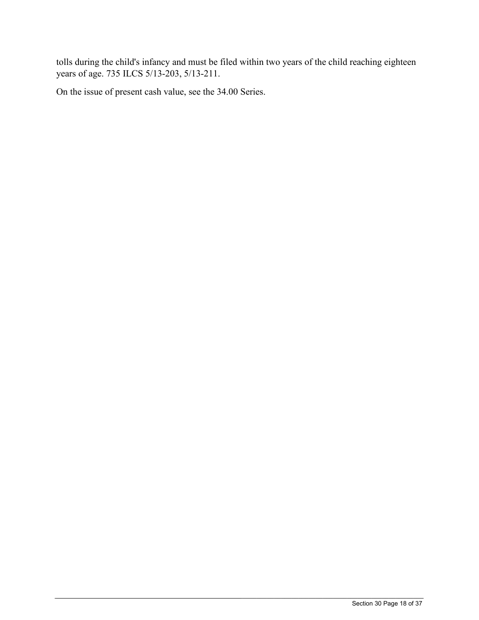tolls during the child's infancy and must be filed within two years of the child reaching eighteen years of age. 735 ILCS 5/13-203, 5/13-211.

 $\_$  ,  $\_$  ,  $\_$  ,  $\_$  ,  $\_$  ,  $\_$  ,  $\_$  ,  $\_$  ,  $\_$  ,  $\_$  ,  $\_$  ,  $\_$  ,  $\_$  ,  $\_$  ,  $\_$  ,  $\_$  ,  $\_$  ,  $\_$  ,  $\_$  ,  $\_$  ,  $\_$  ,  $\_$  ,  $\_$  ,  $\_$  ,  $\_$  ,  $\_$  ,  $\_$  ,  $\_$  ,  $\_$  ,  $\_$  ,  $\_$  ,  $\_$  ,  $\_$  ,  $\_$  ,  $\_$  ,  $\_$  ,  $\_$  ,

On the issue of present cash value, see the 34.00 Series.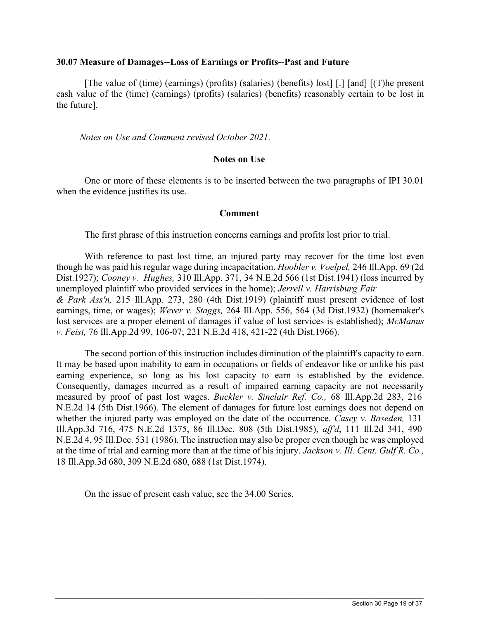#### **30.07 Measure of Damages--Loss of Earnings or Profits--Past and Future**

[The value of (time) (earnings) (profits) (salaries) (benefits) lost] [.] [and] [(T)he present cash value of the (time) (earnings) (profits) (salaries) (benefits) reasonably certain to be lost in the future].

*Notes on Use and Comment revised October 2021.*

## **Notes on Use**

One or more of these elements is to be inserted between the two paragraphs of IPI 30.01 when the evidence justifies its use.

## **Comment**

The first phrase of this instruction concerns earnings and profits lost prior to trial.

With reference to past lost time, an injured party may recover for the time lost even though he was paid his regular wage during incapacitation. *Hoobler v. Voelpel,* 246 Ill.App. 69 (2d Dist.1927); *Cooney v. Hughes,* 310 Ill.App. 371, 34 N.E.2d 566 (1st Dist.1941) (loss incurred by unemployed plaintiff who provided services in the home); *Jerrell v. Harrisburg Fair & Park Ass'n,* 215 Ill.App. 273, 280 (4th Dist.1919) (plaintiff must present evidence of lost earnings, time, or wages); *Wever v. Staggs,* 264 Ill.App. 556, 564 (3d Dist.1932) (homemaker's lost services are a proper element of damages if value of lost services is established); *McManus v. Feist,* 76 Ill.App.2d 99, 106-07; 221 N.E.2d 418, 421-22 (4th Dist.1966).

The second portion of this instruction includes diminution of the plaintiff's capacity to earn. It may be based upon inability to earn in occupations or fields of endeavor like or unlike his past earning experience, so long as his lost capacity to earn is established by the evidence. Consequently, damages incurred as a result of impaired earning capacity are not necessarily measured by proof of past lost wages. *Buckler v. Sinclair Ref. Co.,* 68 Ill.App.2d 283, 216 N.E.2d 14 (5th Dist.1966). The element of damages for future lost earnings does not depend on whether the injured party was employed on the date of the occurrence. *Casey v. Baseden,* 131 Ill.App.3d 716, 475 N.E.2d 1375, 86 Ill.Dec. 808 (5th Dist.1985), *aff'd*, 111 Ill.2d 341, 490 N.E.2d 4, 95 Ill.Dec. 531 (1986). The instruction may also be proper even though he was employed at the time of trial and earning more than at the time of his injury. *Jackson v. Ill. Cent. Gulf R. Co.,*  18 Ill.App.3d 680, 309 N.E.2d 680, 688 (1st Dist.1974).

 $\_$  ,  $\_$  ,  $\_$  ,  $\_$  ,  $\_$  ,  $\_$  ,  $\_$  ,  $\_$  ,  $\_$  ,  $\_$  ,  $\_$  ,  $\_$  ,  $\_$  ,  $\_$  ,  $\_$  ,  $\_$  ,  $\_$  ,  $\_$  ,  $\_$  ,  $\_$  ,  $\_$  ,  $\_$  ,  $\_$  ,  $\_$  ,  $\_$  ,  $\_$  ,  $\_$  ,  $\_$  ,  $\_$  ,  $\_$  ,  $\_$  ,  $\_$  ,  $\_$  ,  $\_$  ,  $\_$  ,  $\_$  ,  $\_$  ,

On the issue of present cash value, see the 34.00 Series.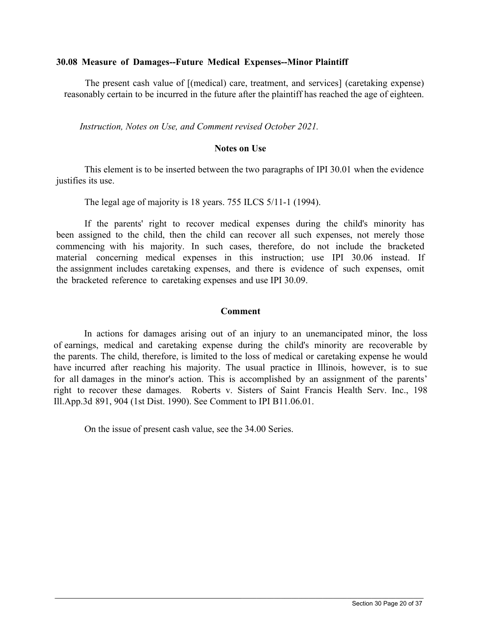## **30.08 Measure of Damages--Future Medical Expenses--Minor Plaintiff**

The present cash value of [(medical) care, treatment, and services] (caretaking expense) reasonably certain to be incurred in the future after the plaintiff has reached the age of eighteen.

*Instruction, Notes on Use, and Comment revised October 2021.*

# **Notes on Use**

This element is to be inserted between the two paragraphs of IPI 30.01 when the evidence justifies its use.

The legal age of majority is 18 years. 755 ILCS 5/11-1 (1994).

If the parents' right to recover medical expenses during the child's minority has been assigned to the child, then the child can recover all such expenses, not merely those commencing with his majority. In such cases, therefore, do not include the bracketed material concerning medical expenses in this instruction; use IPI 30.06 instead. If the assignment includes caretaking expenses, and there is evidence of such expenses, omit the bracketed reference to caretaking expenses and use IPI 30.09.

## **Comment**

In actions for damages arising out of an injury to an unemancipated minor, the loss of earnings, medical and caretaking expense during the child's minority are recoverable by the parents. The child, therefore, is limited to the loss of medical or caretaking expense he would have incurred after reaching his majority. The usual practice in Illinois, however, is to sue for all damages in the minor's action. This is accomplished by an assignment of the parents' right to recover these damages. Roberts v. Sisters of Saint Francis Health Serv. Inc., 198 Ill.App.3d 891, 904 (1st Dist. 1990). See Comment to IPI B11.06.01.

 $\_$  ,  $\_$  ,  $\_$  ,  $\_$  ,  $\_$  ,  $\_$  ,  $\_$  ,  $\_$  ,  $\_$  ,  $\_$  ,  $\_$  ,  $\_$  ,  $\_$  ,  $\_$  ,  $\_$  ,  $\_$  ,  $\_$  ,  $\_$  ,  $\_$  ,  $\_$  ,  $\_$  ,  $\_$  ,  $\_$  ,  $\_$  ,  $\_$  ,  $\_$  ,  $\_$  ,  $\_$  ,  $\_$  ,  $\_$  ,  $\_$  ,  $\_$  ,  $\_$  ,  $\_$  ,  $\_$  ,  $\_$  ,  $\_$  ,

On the issue of present cash value, see the 34.00 Series.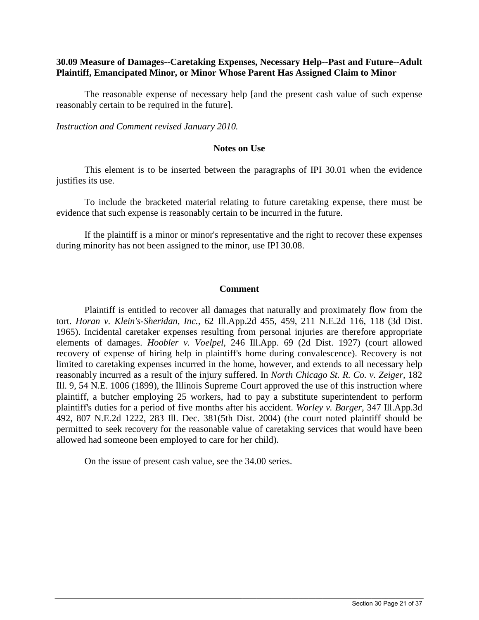## **30.09 Measure of Damages--Caretaking Expenses, Necessary Help--Past and Future--Adult Plaintiff, Emancipated Minor, or Minor Whose Parent Has Assigned Claim to Minor**

The reasonable expense of necessary help [and the present cash value of such expense reasonably certain to be required in the future].

*Instruction and Comment revised January 2010.*

#### **Notes on Use**

This element is to be inserted between the paragraphs of IPI 30.01 when the evidence justifies its use.

To include the bracketed material relating to future caretaking expense, there must be evidence that such expense is reasonably certain to be incurred in the future.

If the plaintiff is a minor or minor's representative and the right to recover these expenses during minority has not been assigned to the minor, use IPI 30.08.

#### **Comment**

Plaintiff is entitled to recover all damages that naturally and proximately flow from the tort. *Horan v. Klein's-Sheridan, Inc.,* 62 Ill.App.2d 455, 459, 211 N.E.2d 116, 118 (3d Dist. 1965). Incidental caretaker expenses resulting from personal injuries are therefore appropriate elements of damages. *Hoobler v. Voelpel,* 246 Ill.App. 69 (2d Dist. 1927) (court allowed recovery of expense of hiring help in plaintiff's home during convalescence). Recovery is not limited to caretaking expenses incurred in the home, however, and extends to all necessary help reasonably incurred as a result of the injury suffered. In *North Chicago St. R. Co. v. Zeiger,* 182 Ill. 9, 54 N.E. 1006 (1899), the Illinois Supreme Court approved the use of this instruction where plaintiff, a butcher employing 25 workers, had to pay a substitute superintendent to perform plaintiff's duties for a period of five months after his accident. *Worley v. Barger,* 347 Ill.App.3d 492, 807 N.E.2d 1222, 283 Ill. Dec. 381(5th Dist. 2004) (the court noted plaintiff should be permitted to seek recovery for the reasonable value of caretaking services that would have been allowed had someone been employed to care for her child).

 $\_$  ,  $\_$  ,  $\_$  ,  $\_$  ,  $\_$  ,  $\_$  ,  $\_$  ,  $\_$  ,  $\_$  ,  $\_$  ,  $\_$  ,  $\_$  ,  $\_$  ,  $\_$  ,  $\_$  ,  $\_$  ,  $\_$  ,  $\_$  ,  $\_$  ,  $\_$  ,  $\_$  ,  $\_$  ,  $\_$  ,  $\_$  ,  $\_$  ,  $\_$  ,  $\_$  ,  $\_$  ,  $\_$  ,  $\_$  ,  $\_$  ,  $\_$  ,  $\_$  ,  $\_$  ,  $\_$  ,  $\_$  ,  $\_$  ,

On the issue of present cash value, see the 34.00 series.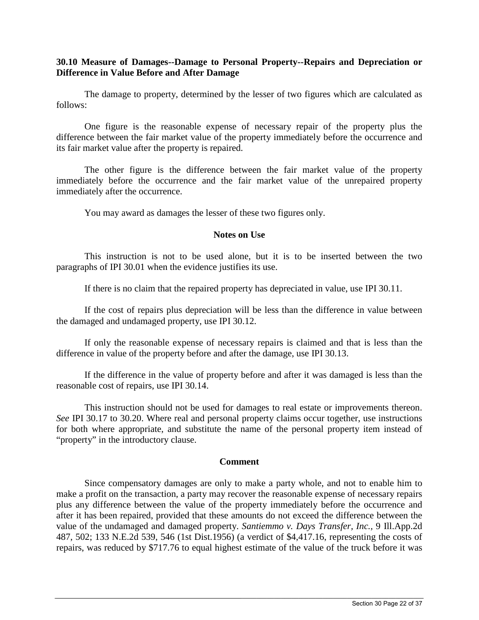# **30.10 Measure of Damages--Damage to Personal Property--Repairs and Depreciation or Difference in Value Before and After Damage**

The damage to property, determined by the lesser of two figures which are calculated as follows:

One figure is the reasonable expense of necessary repair of the property plus the difference between the fair market value of the property immediately before the occurrence and its fair market value after the property is repaired.

The other figure is the difference between the fair market value of the property immediately before the occurrence and the fair market value of the unrepaired property immediately after the occurrence.

You may award as damages the lesser of these two figures only.

## **Notes on Use**

This instruction is not to be used alone, but it is to be inserted between the two paragraphs of IPI 30.01 when the evidence justifies its use.

If there is no claim that the repaired property has depreciated in value, use IPI 30.11.

If the cost of repairs plus depreciation will be less than the difference in value between the damaged and undamaged property, use IPI 30.12.

If only the reasonable expense of necessary repairs is claimed and that is less than the difference in value of the property before and after the damage, use IPI 30.13.

If the difference in the value of property before and after it was damaged is less than the reasonable cost of repairs, use IPI 30.14.

This instruction should not be used for damages to real estate or improvements thereon. *See* IPI 30.17 to 30.20. Where real and personal property claims occur together, use instructions for both where appropriate, and substitute the name of the personal property item instead of "property" in the introductory clause.

#### **Comment**

Since compensatory damages are only to make a party whole, and not to enable him to make a profit on the transaction, a party may recover the reasonable expense of necessary repairs plus any difference between the value of the property immediately before the occurrence and after it has been repaired, provided that these amounts do not exceed the difference between the value of the undamaged and damaged property. *Santiemmo v. Days Transfer, Inc.,* 9 Ill.App.2d 487, 502; 133 N.E.2d 539, 546 (1st Dist.1956) (a verdict of \$4,417.16, representing the costs of repairs, was reduced by \$717.76 to equal highest estimate of the value of the truck before it was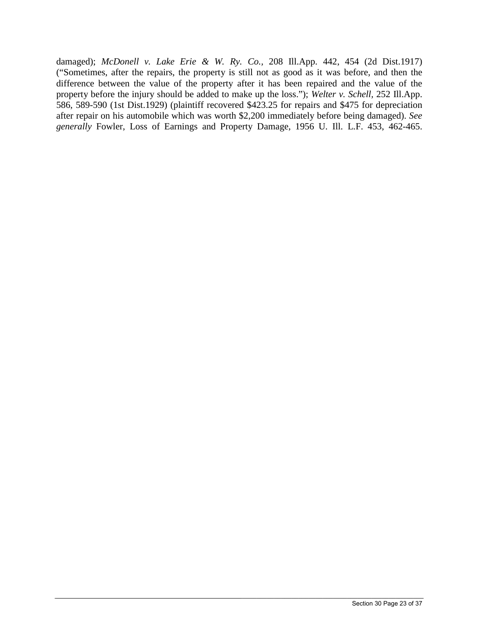damaged); *McDonell v. Lake Erie & W. Ry. Co.,* 208 Ill.App. 442, 454 (2d Dist.1917) ("Sometimes, after the repairs, the property is still not as good as it was before, and then the difference between the value of the property after it has been repaired and the value of the property before the injury should be added to make up the loss."); *Welter v. Schell,* 252 Ill.App. 586, 589-590 (1st Dist.1929) (plaintiff recovered \$423.25 for repairs and \$475 for depreciation after repair on his automobile which was worth \$2,200 immediately before being damaged). *See generally* Fowler, Loss of Earnings and Property Damage, 1956 U. Ill. L.F. 453, 462-465.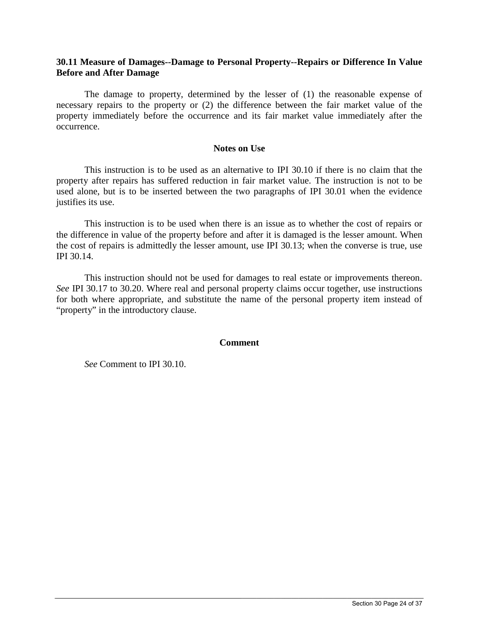# **30.11 Measure of Damages--Damage to Personal Property--Repairs or Difference In Value Before and After Damage**

The damage to property, determined by the lesser of (1) the reasonable expense of necessary repairs to the property or (2) the difference between the fair market value of the property immediately before the occurrence and its fair market value immediately after the occurrence.

## **Notes on Use**

This instruction is to be used as an alternative to IPI 30.10 if there is no claim that the property after repairs has suffered reduction in fair market value. The instruction is not to be used alone, but is to be inserted between the two paragraphs of IPI 30.01 when the evidence justifies its use.

This instruction is to be used when there is an issue as to whether the cost of repairs or the difference in value of the property before and after it is damaged is the lesser amount. When the cost of repairs is admittedly the lesser amount, use IPI 30.13; when the converse is true, use IPI 30.14.

This instruction should not be used for damages to real estate or improvements thereon. *See* IPI 30.17 to 30.20. Where real and personal property claims occur together, use instructions for both where appropriate, and substitute the name of the personal property item instead of "property" in the introductory clause.

# **Comment**

 $\_$  ,  $\_$  ,  $\_$  ,  $\_$  ,  $\_$  ,  $\_$  ,  $\_$  ,  $\_$  ,  $\_$  ,  $\_$  ,  $\_$  ,  $\_$  ,  $\_$  ,  $\_$  ,  $\_$  ,  $\_$  ,  $\_$  ,  $\_$  ,  $\_$  ,  $\_$  ,  $\_$  ,  $\_$  ,  $\_$  ,  $\_$  ,  $\_$  ,  $\_$  ,  $\_$  ,  $\_$  ,  $\_$  ,  $\_$  ,  $\_$  ,  $\_$  ,  $\_$  ,  $\_$  ,  $\_$  ,  $\_$  ,  $\_$  ,

*See* Comment to IPI 30.10.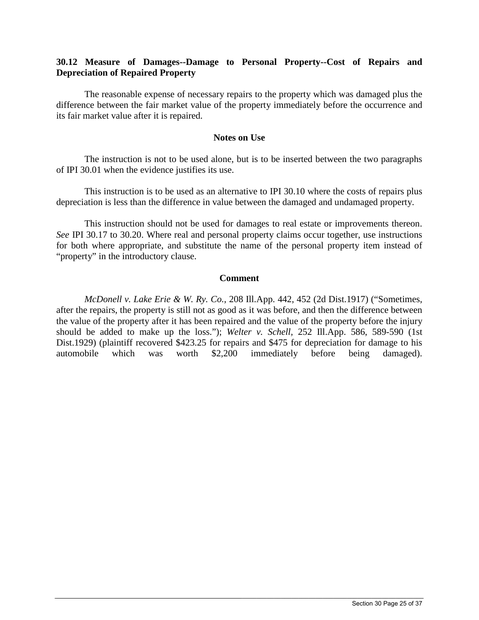# **30.12 Measure of Damages--Damage to Personal Property--Cost of Repairs and Depreciation of Repaired Property**

The reasonable expense of necessary repairs to the property which was damaged plus the difference between the fair market value of the property immediately before the occurrence and its fair market value after it is repaired.

# **Notes on Use**

The instruction is not to be used alone, but is to be inserted between the two paragraphs of IPI 30.01 when the evidence justifies its use.

This instruction is to be used as an alternative to IPI 30.10 where the costs of repairs plus depreciation is less than the difference in value between the damaged and undamaged property.

This instruction should not be used for damages to real estate or improvements thereon. *See* IPI 30.17 to 30.20. Where real and personal property claims occur together, use instructions for both where appropriate, and substitute the name of the personal property item instead of "property" in the introductory clause.

## **Comment**

*McDonell v. Lake Erie & W. Ry. Co.*, 208 Ill.App. 442, 452 (2d Dist.1917) ("Sometimes, after the repairs, the property is still not as good as it was before, and then the difference between the value of the property after it has been repaired and the value of the property before the injury should be added to make up the loss."); *Welter v. Schell,* 252 Ill.App. 586, 589-590 (1st Dist.1929) (plaintiff recovered \$423.25 for repairs and \$475 for depreciation for damage to his automobile which was worth \$2,200 immediately before being damaged).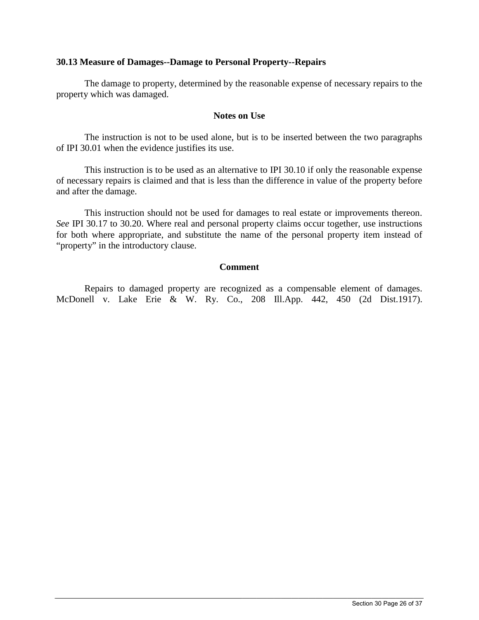# **30.13 Measure of Damages--Damage to Personal Property--Repairs**

The damage to property, determined by the reasonable expense of necessary repairs to the property which was damaged.

## **Notes on Use**

The instruction is not to be used alone, but is to be inserted between the two paragraphs of IPI 30.01 when the evidence justifies its use.

This instruction is to be used as an alternative to IPI 30.10 if only the reasonable expense of necessary repairs is claimed and that is less than the difference in value of the property before and after the damage.

This instruction should not be used for damages to real estate or improvements thereon. *See* IPI 30.17 to 30.20. Where real and personal property claims occur together, use instructions for both where appropriate, and substitute the name of the personal property item instead of "property" in the introductory clause.

## **Comment**

Repairs to damaged property are recognized as a compensable element of damages. McDonell v. Lake Erie & W. Ry. Co., 208 Ill.App. 442, 450 (2d Dist.1917).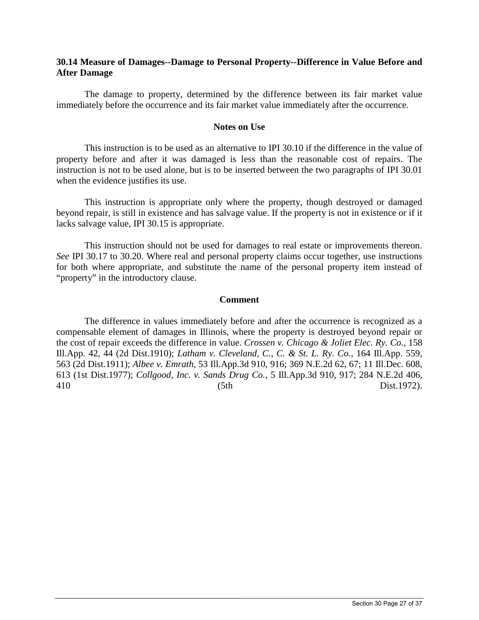# **30.14 Measure of Damages--Damage to Personal Property--Difference in Value Before and After Damage**

The damage to property, determined by the difference between its fair market value immediately before the occurrence and its fair market value immediately after the occurrence.

#### **Notes on Use**

This instruction is to be used as an alternative to IPI 30.10 if the difference in the value of property before and after it was damaged is less than the reasonable cost of repairs. The instruction is not to be used alone, but is to be inserted between the two paragraphs of IPI 30.01 when the evidence justifies its use.

This instruction is appropriate only where the property, though destroyed or damaged beyond repair, is still in existence and has salvage value. If the property is not in existence or if it lacks salvage value, IPI 30.15 is appropriate.

This instruction should not be used for damages to real estate or improvements thereon. *See* IPI 30.17 to 30.20. Where real and personal property claims occur together, use instructions for both where appropriate, and substitute the name of the personal property item instead of "property" in the introductory clause.

#### **Comment**

The difference in values immediately before and after the occurrence is recognized as a compensable element of damages in Illinois, where the property is destroyed beyond repair or the cost of repair exceeds the difference in value. *Crossen v. Chicago & Joliet Elec. Ry. Co.,* 158 Ill.App. 42, 44 (2d Dist.1910); *Latham v. Cleveland, C., C. & St. L. Ry. Co.,* 164 Ill.App. 559, 563 (2d Dist.1911); *Albee v. Emrath,* 53 Ill.App.3d 910, 916; 369 N.E.2d 62, 67; 11 Ill.Dec. 608, 613 (1st Dist.1977); *Collgood, Inc. v. Sands Drug Co.,* 5 Ill.App.3d 910, 917; 284 N.E.2d 406, 410 (5th Dist.1972).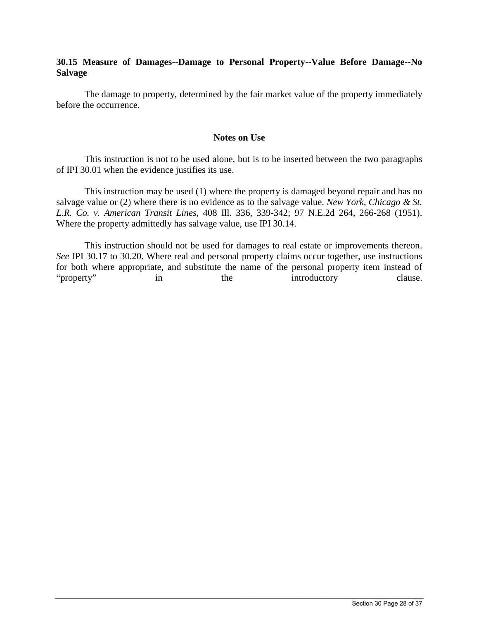# **30.15 Measure of Damages--Damage to Personal Property--Value Before Damage--No Salvage**

The damage to property, determined by the fair market value of the property immediately before the occurrence.

## **Notes on Use**

This instruction is not to be used alone, but is to be inserted between the two paragraphs of IPI 30.01 when the evidence justifies its use.

This instruction may be used (1) where the property is damaged beyond repair and has no salvage value or (2) where there is no evidence as to the salvage value. *New York, Chicago & St. L.R. Co. v. American Transit Lines,* 408 Ill. 336, 339-342; 97 N.E.2d 264, 266-268 (1951). Where the property admittedly has salvage value, use IPI 30.14.

This instruction should not be used for damages to real estate or improvements thereon. *See* IPI 30.17 to 30.20. Where real and personal property claims occur together, use instructions for both where appropriate, and substitute the name of the personal property item instead of "property" in the introductory clause.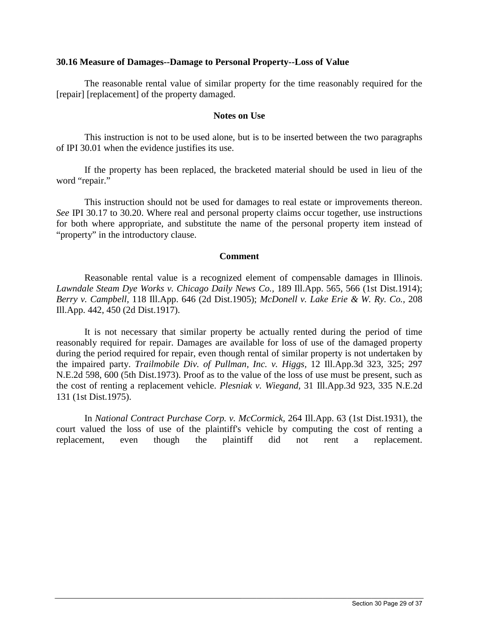## **30.16 Measure of Damages--Damage to Personal Property--Loss of Value**

The reasonable rental value of similar property for the time reasonably required for the [repair] [replacement] of the property damaged.

## **Notes on Use**

This instruction is not to be used alone, but is to be inserted between the two paragraphs of IPI 30.01 when the evidence justifies its use.

If the property has been replaced, the bracketed material should be used in lieu of the word "repair."

This instruction should not be used for damages to real estate or improvements thereon. *See* IPI 30.17 to 30.20. Where real and personal property claims occur together, use instructions for both where appropriate, and substitute the name of the personal property item instead of "property" in the introductory clause.

## **Comment**

Reasonable rental value is a recognized element of compensable damages in Illinois. *Lawndale Steam Dye Works v. Chicago Daily News Co.,* 189 Ill.App. 565, 566 (1st Dist.1914); *Berry v. Campbell,* 118 Ill.App. 646 (2d Dist.1905); *McDonell v. Lake Erie & W. Ry. Co.,* 208 Ill.App. 442, 450 (2d Dist.1917).

It is not necessary that similar property be actually rented during the period of time reasonably required for repair. Damages are available for loss of use of the damaged property during the period required for repair, even though rental of similar property is not undertaken by the impaired party. *Trailmobile Div. of Pullman, Inc. v. Higgs,* 12 Ill.App.3d 323, 325; 297 N.E.2d 598, 600 (5th Dist.1973). Proof as to the value of the loss of use must be present, such as the cost of renting a replacement vehicle. *Plesniak v. Wiegand,* 31 Ill.App.3d 923, 335 N.E.2d 131 (1st Dist.1975).

In *National Contract Purchase Corp. v. McCormick,* 264 Ill.App. 63 (1st Dist.1931), the court valued the loss of use of the plaintiff's vehicle by computing the cost of renting a replacement, even though the plaintiff did not rent a replacement.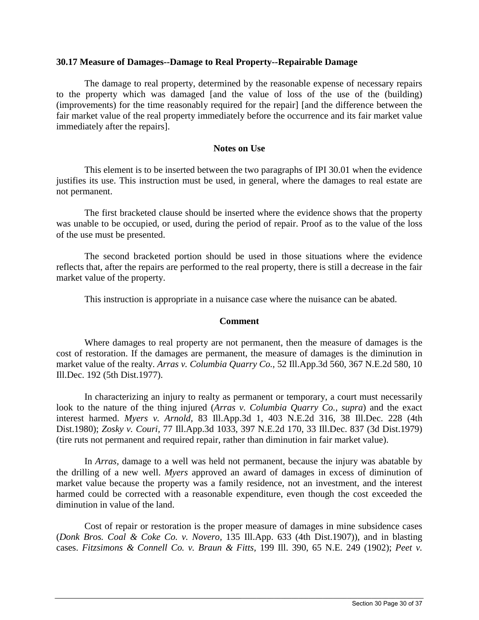# **30.17 Measure of Damages--Damage to Real Property--Repairable Damage**

The damage to real property, determined by the reasonable expense of necessary repairs to the property which was damaged [and the value of loss of the use of the (building) (improvements) for the time reasonably required for the repair] [and the difference between the fair market value of the real property immediately before the occurrence and its fair market value immediately after the repairs].

## **Notes on Use**

This element is to be inserted between the two paragraphs of IPI 30.01 when the evidence justifies its use. This instruction must be used, in general, where the damages to real estate are not permanent.

The first bracketed clause should be inserted where the evidence shows that the property was unable to be occupied, or used, during the period of repair. Proof as to the value of the loss of the use must be presented.

The second bracketed portion should be used in those situations where the evidence reflects that, after the repairs are performed to the real property, there is still a decrease in the fair market value of the property.

This instruction is appropriate in a nuisance case where the nuisance can be abated.

# **Comment**

Where damages to real property are not permanent, then the measure of damages is the cost of restoration. If the damages are permanent, the measure of damages is the diminution in market value of the realty. *Arras v. Columbia Quarry Co.,* 52 Ill.App.3d 560, 367 N.E.2d 580, 10 Ill.Dec. 192 (5th Dist.1977).

In characterizing an injury to realty as permanent or temporary, a court must necessarily look to the nature of the thing injured (*Arras v. Columbia Quarry Co., supra*) and the exact interest harmed. *Myers v. Arnold,* 83 Ill.App.3d 1, 403 N.E.2d 316, 38 Ill.Dec. 228 (4th Dist.1980); *Zosky v. Couri,* 77 Ill.App.3d 1033, 397 N.E.2d 170, 33 Ill.Dec. 837 (3d Dist.1979) (tire ruts not permanent and required repair, rather than diminution in fair market value).

In *Arras,* damage to a well was held not permanent, because the injury was abatable by the drilling of a new well. *Myers* approved an award of damages in excess of diminution of market value because the property was a family residence, not an investment, and the interest harmed could be corrected with a reasonable expenditure, even though the cost exceeded the diminution in value of the land.

Cost of repair or restoration is the proper measure of damages in mine subsidence cases (*Donk Bros. Coal & Coke Co. v. Novero,* 135 Ill.App. 633 (4th Dist.1907)), and in blasting cases. *Fitzsimons & Connell Co. v. Braun & Fitts,* 199 Ill. 390, 65 N.E. 249 (1902); *Peet v.*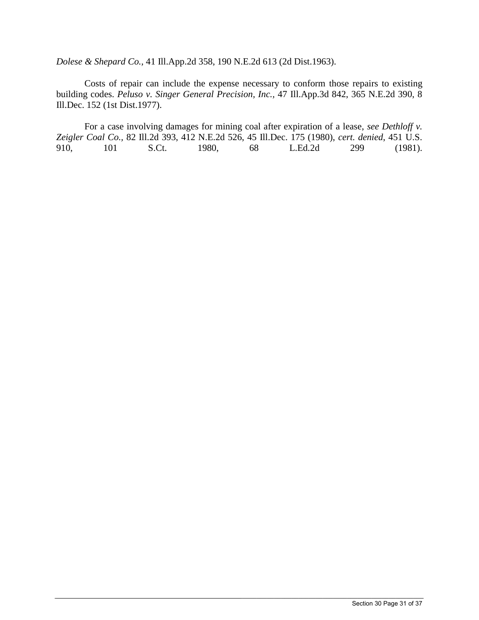*Dolese & Shepard Co.,* 41 Ill.App.2d 358, 190 N.E.2d 613 (2d Dist.1963).

Costs of repair can include the expense necessary to conform those repairs to existing building codes. *Peluso v. Singer General Precision, Inc.,* 47 Ill.App.3d 842, 365 N.E.2d 390, 8 Ill.Dec. 152 (1st Dist.1977).

For a case involving damages for mining coal after expiration of a lease, *see Dethloff v. Zeigler Coal Co.,* 82 Ill.2d 393, 412 N.E.2d 526, 45 Ill.Dec. 175 (1980), *cert. denied*, 451 U.S. 910, 101 S.Ct. 1980, 68 L.Ed.2d 299 (1981).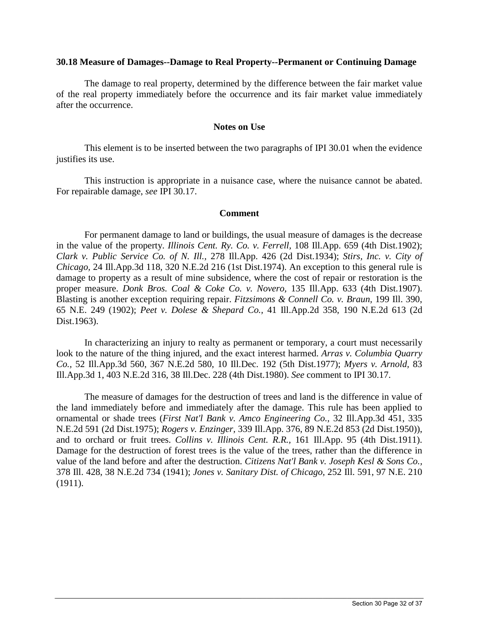#### **30.18 Measure of Damages--Damage to Real Property--Permanent or Continuing Damage**

The damage to real property, determined by the difference between the fair market value of the real property immediately before the occurrence and its fair market value immediately after the occurrence.

## **Notes on Use**

This element is to be inserted between the two paragraphs of IPI 30.01 when the evidence justifies its use.

This instruction is appropriate in a nuisance case, where the nuisance cannot be abated. For repairable damage, *see* IPI 30.17.

## **Comment**

For permanent damage to land or buildings, the usual measure of damages is the decrease in the value of the property. *Illinois Cent. Ry. Co. v. Ferrell,* 108 Ill.App. 659 (4th Dist.1902); *Clark v. Public Service Co. of N. Ill.,* 278 Ill.App. 426 (2d Dist.1934); *Stirs, Inc. v. City of Chicago,* 24 Ill.App.3d 118, 320 N.E.2d 216 (1st Dist.1974). An exception to this general rule is damage to property as a result of mine subsidence, where the cost of repair or restoration is the proper measure. *Donk Bros. Coal & Coke Co. v. Novero,* 135 Ill.App. 633 (4th Dist.1907). Blasting is another exception requiring repair. *Fitzsimons & Connell Co. v. Braun,* 199 Ill. 390, 65 N.E. 249 (1902); *Peet v. Dolese & Shepard Co.,* 41 Ill.App.2d 358, 190 N.E.2d 613 (2d Dist.1963).

In characterizing an injury to realty as permanent or temporary, a court must necessarily look to the nature of the thing injured, and the exact interest harmed. *Arras v. Columbia Quarry Co.,* 52 Ill.App.3d 560, 367 N.E.2d 580, 10 Ill.Dec. 192 (5th Dist.1977); *Myers v. Arnold,* 83 Ill.App.3d 1, 403 N.E.2d 316, 38 Ill.Dec. 228 (4th Dist.1980). *See* comment to IPI 30.17.

The measure of damages for the destruction of trees and land is the difference in value of the land immediately before and immediately after the damage. This rule has been applied to ornamental or shade trees (*First Nat'l Bank v. Amco Engineering Co.,* 32 Ill.App.3d 451, 335 N.E.2d 591 (2d Dist.1975); *Rogers v. Enzinger,* 339 Ill.App. 376, 89 N.E.2d 853 (2d Dist.1950)), and to orchard or fruit trees. *Collins v. Illinois Cent. R.R.,* 161 Ill.App. 95 (4th Dist.1911). Damage for the destruction of forest trees is the value of the trees, rather than the difference in value of the land before and after the destruction. *Citizens Nat'l Bank v. Joseph Kesl & Sons Co.,* 378 Ill. 428, 38 N.E.2d 734 (1941); *Jones v. Sanitary Dist. of Chicago,* 252 Ill. 591, 97 N.E. 210 (1911).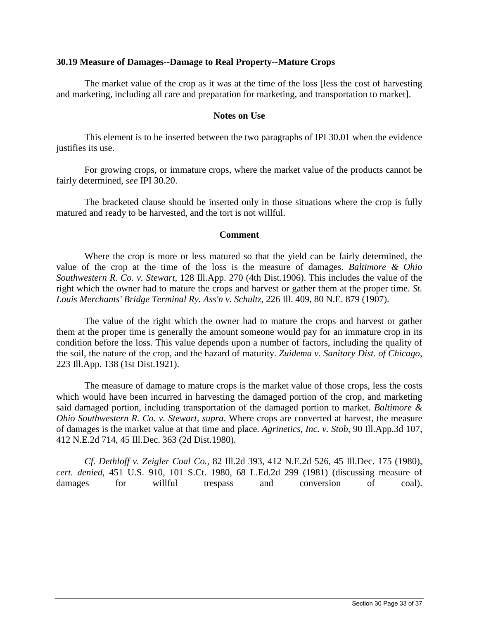## **30.19 Measure of Damages--Damage to Real Property--Mature Crops**

The market value of the crop as it was at the time of the loss [less the cost of harvesting and marketing, including all care and preparation for marketing, and transportation to market].

## **Notes on Use**

This element is to be inserted between the two paragraphs of IPI 30.01 when the evidence justifies its use.

For growing crops, or immature crops, where the market value of the products cannot be fairly determined, *see* IPI 30.20.

The bracketed clause should be inserted only in those situations where the crop is fully matured and ready to be harvested, and the tort is not willful.

#### **Comment**

Where the crop is more or less matured so that the yield can be fairly determined, the value of the crop at the time of the loss is the measure of damages. *Baltimore & Ohio Southwestern R. Co. v. Stewart,* 128 Ill.App. 270 (4th Dist.1906). This includes the value of the right which the owner had to mature the crops and harvest or gather them at the proper time. *St. Louis Merchants' Bridge Terminal Ry. Ass'n v. Schultz,* 226 Ill. 409, 80 N.E. 879 (1907).

The value of the right which the owner had to mature the crops and harvest or gather them at the proper time is generally the amount someone would pay for an immature crop in its condition before the loss. This value depends upon a number of factors, including the quality of the soil, the nature of the crop, and the hazard of maturity. *Zuidema v. Sanitary Dist. of Chicago,* 223 Ill.App. 138 (1st Dist.1921).

The measure of damage to mature crops is the market value of those crops, less the costs which would have been incurred in harvesting the damaged portion of the crop, and marketing said damaged portion, including transportation of the damaged portion to market. *Baltimore & Ohio Southwestern R. Co. v. Stewart, supra*. Where crops are converted at harvest, the measure of damages is the market value at that time and place. *Agrinetics, Inc. v. Stob,* 90 Ill.App.3d 107, 412 N.E.2d 714, 45 Ill.Dec. 363 (2d Dist.1980).

*Cf. Dethloff v. Zeigler Coal Co.,* 82 Ill.2d 393, 412 N.E.2d 526, 45 Ill.Dec. 175 (1980), *cert. denied*, 451 U.S. 910, 101 S.Ct. 1980, 68 L.Ed.2d 299 (1981) (discussing measure of damages for willful trespass and conversion of coal).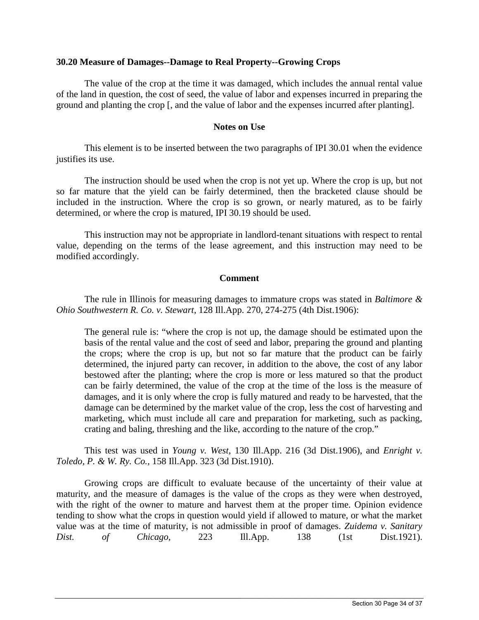## **30.20 Measure of Damages--Damage to Real Property--Growing Crops**

The value of the crop at the time it was damaged, which includes the annual rental value of the land in question, the cost of seed, the value of labor and expenses incurred in preparing the ground and planting the crop [, and the value of labor and the expenses incurred after planting].

## **Notes on Use**

This element is to be inserted between the two paragraphs of IPI 30.01 when the evidence justifies its use.

The instruction should be used when the crop is not yet up. Where the crop is up, but not so far mature that the yield can be fairly determined, then the bracketed clause should be included in the instruction. Where the crop is so grown, or nearly matured, as to be fairly determined, or where the crop is matured, IPI 30.19 should be used.

This instruction may not be appropriate in landlord-tenant situations with respect to rental value, depending on the terms of the lease agreement, and this instruction may need to be modified accordingly.

## **Comment**

The rule in Illinois for measuring damages to immature crops was stated in *Baltimore & Ohio Southwestern R. Co. v. Stewart,* 128 Ill.App. 270, 274-275 (4th Dist.1906):

The general rule is: "where the crop is not up, the damage should be estimated upon the basis of the rental value and the cost of seed and labor, preparing the ground and planting the crops; where the crop is up, but not so far mature that the product can be fairly determined, the injured party can recover, in addition to the above, the cost of any labor bestowed after the planting; where the crop is more or less matured so that the product can be fairly determined, the value of the crop at the time of the loss is the measure of damages, and it is only where the crop is fully matured and ready to be harvested, that the damage can be determined by the market value of the crop, less the cost of harvesting and marketing, which must include all care and preparation for marketing, such as packing, crating and baling, threshing and the like, according to the nature of the crop."

This test was used in *Young v. West,* 130 Ill.App. 216 (3d Dist.1906), and *Enright v. Toledo, P. & W. Ry. Co.,* 158 Ill.App. 323 (3d Dist.1910).

Growing crops are difficult to evaluate because of the uncertainty of their value at maturity, and the measure of damages is the value of the crops as they were when destroyed, with the right of the owner to mature and harvest them at the proper time. Opinion evidence tending to show what the crops in question would yield if allowed to mature, or what the market value was at the time of maturity, is not admissible in proof of damages. *Zuidema v. Sanitary Dist. of Chicago,* 223 Ill.App. 138 (1st Dist.1921).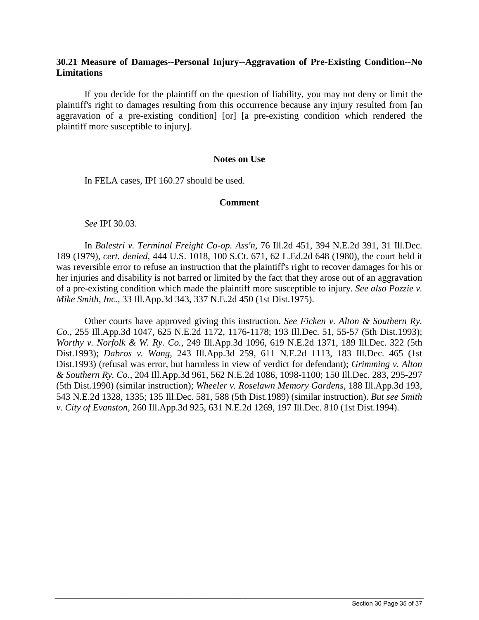# **30.21 Measure of Damages--Personal Injury--Aggravation of Pre-Existing Condition--No Limitations**

If you decide for the plaintiff on the question of liability, you may not deny or limit the plaintiff's right to damages resulting from this occurrence because any injury resulted from [an aggravation of a pre-existing condition] [or] [a pre-existing condition which rendered the plaintiff more susceptible to injury].

#### **Notes on Use**

In FELA cases, IPI 160.27 should be used.

#### **Comment**

*See* IPI 30.03.

In *Balestri v. Terminal Freight Co-op. Ass'n,* 76 Ill.2d 451, 394 N.E.2d 391, 31 Ill.Dec. 189 (1979), *cert. denied*, 444 U.S. 1018, 100 S.Ct. 671, 62 L.Ed.2d 648 (1980), the court held it was reversible error to refuse an instruction that the plaintiff's right to recover damages for his or her injuries and disability is not barred or limited by the fact that they arose out of an aggravation of a pre-existing condition which made the plaintiff more susceptible to injury. *See also Pozzie v. Mike Smith, Inc.,* 33 Ill.App.3d 343, 337 N.E.2d 450 (1st Dist.1975).

Other courts have approved giving this instruction. *See Ficken v. Alton & Southern Ry. Co.,* 255 Ill.App.3d 1047, 625 N.E.2d 1172, 1176-1178; 193 Ill.Dec. 51, 55-57 (5th Dist.1993); *Worthy v. Norfolk & W. Ry. Co.,* 249 Ill.App.3d 1096, 619 N.E.2d 1371, 189 Ill.Dec. 322 (5th Dist.1993); *Dabros v. Wang,* 243 Ill.App.3d 259, 611 N.E.2d 1113, 183 Ill.Dec. 465 (1st Dist.1993) (refusal was error, but harmless in view of verdict for defendant); *Grimming v. Alton & Southern Ry. Co.,* 204 Ill.App.3d 961, 562 N.E.2d 1086, 1098-1100; 150 Ill.Dec. 283, 295-297 (5th Dist.1990) (similar instruction); *Wheeler v. Roselawn Memory Gardens,* 188 Ill.App.3d 193, 543 N.E.2d 1328, 1335; 135 Ill.Dec. 581, 588 (5th Dist.1989) (similar instruction). *But see Smith v. City of Evanston,* 260 Ill.App.3d 925, 631 N.E.2d 1269, 197 Ill.Dec. 810 (1st Dist.1994).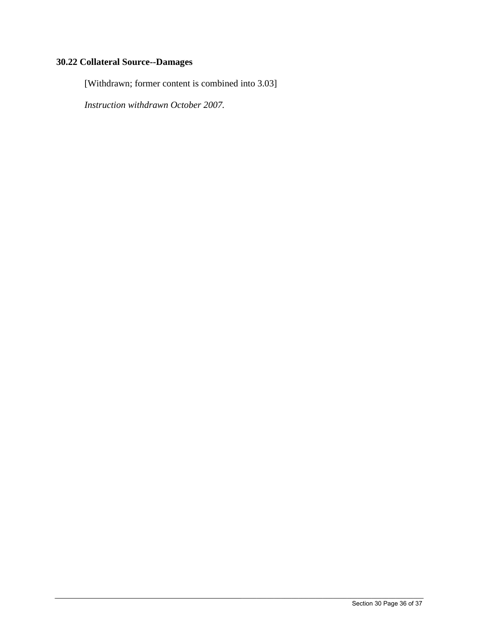# **30.22 Collateral Source--Damages**

[Withdrawn; former content is combined into 3.03]

*Instruction withdrawn October 2007.*